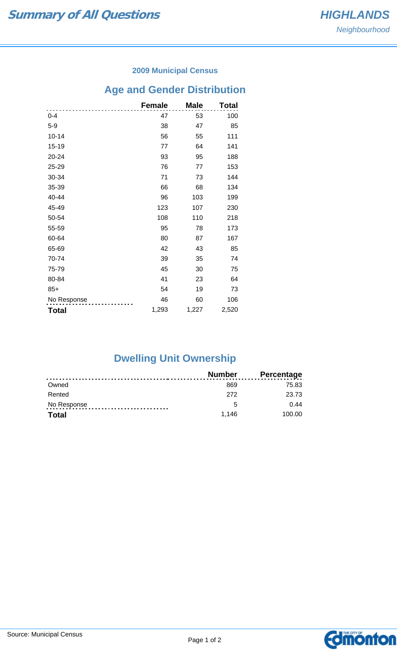### **2009 Municipal Census**

# **Age and Gender Distribution**

|              | <b>Female</b> | <b>Male</b> | <b>Total</b> |
|--------------|---------------|-------------|--------------|
| 0-4          | 47            | 53          | 100          |
| $5 - 9$      | 38            | 47          | 85           |
| $10 - 14$    | 56            | 55          | 111          |
| $15 - 19$    | 77            | 64          | 141          |
| 20-24        | 93            | 95          | 188          |
| 25-29        | 76            | 77          | 153          |
| 30-34        | 71            | 73          | 144          |
| 35-39        | 66            | 68          | 134          |
| 40-44        | 96            | 103         | 199          |
| 45-49        | 123           | 107         | 230          |
| 50-54        | 108           | 110         | 218          |
| 55-59        | 95            | 78          | 173          |
| 60-64        | 80            | 87          | 167          |
| 65-69        | 42            | 43          | 85           |
| 70-74        | 39            | 35          | 74           |
| 75-79        | 45            | 30          | 75           |
| 80-84        | 41            | 23          | 64           |
| $85+$        | 54            | 19          | 73           |
| No Response  | 46            | 60          | 106          |
| <b>Total</b> | 1,293         | 1,227       | 2,520        |

# **Dwelling Unit Ownership**

|              | Number | <b>Percentage</b> |
|--------------|--------|-------------------|
| Owned        | 869    | 75.83             |
| Rented       | 272    | 23.73             |
| No Response  | -5     | 0.44              |
| <b>Total</b> | 1.146  | 100.00            |